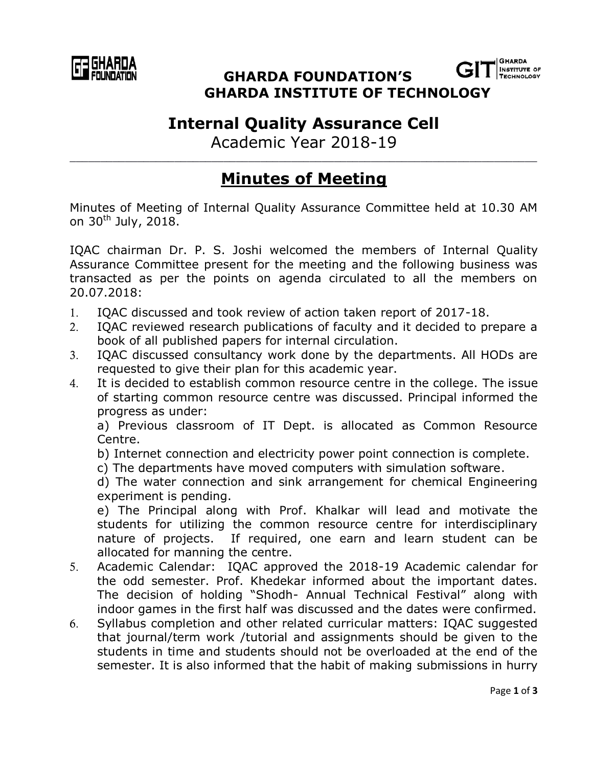

**INSTITUTE OF GHARDA FOUNDATION'S ECHNOLOGY GHARDA INSTITUTE OF TECHNOLOGY**

## **Internal Quality Assurance Cell**

Academic Year 2018-19 \_\_\_\_\_\_\_\_\_\_\_\_\_\_\_\_\_\_\_\_\_\_\_\_\_\_\_\_\_\_\_\_\_\_\_\_\_\_\_\_\_\_\_\_\_\_\_\_\_\_\_\_\_\_\_\_\_\_\_\_\_\_\_\_\_\_\_\_\_\_\_\_\_\_\_\_

## **Minutes of Meeting**

Minutes of Meeting of Internal Quality Assurance Committee held at 10.30 AM on 30<sup>th</sup> July, 2018.

IQAC chairman Dr. P. S. Joshi welcomed the members of Internal Quality Assurance Committee present for the meeting and the following business was transacted as per the points on agenda circulated to all the members on 20.07.2018:

- 1. IQAC discussed and took review of action taken report of 2017-18.
- 2. IQAC reviewed research publications of faculty and it decided to prepare a book of all published papers for internal circulation.
- 3. IQAC discussed consultancy work done by the departments. All HODs are requested to give their plan for this academic year.
- 4. It is decided to establish common resource centre in the college. The issue of starting common resource centre was discussed. Principal informed the progress as under:

a) Previous classroom of IT Dept. is allocated as Common Resource Centre.

b) Internet connection and electricity power point connection is complete.

c) The departments have moved computers with simulation software.

d) The water connection and sink arrangement for chemical Engineering experiment is pending.

e) The Principal along with Prof. Khalkar will lead and motivate the students for utilizing the common resource centre for interdisciplinary nature of projects. If required, one earn and learn student can be allocated for manning the centre.

- 5. Academic Calendar: IQAC approved the 2018-19 Academic calendar for the odd semester. Prof. Khedekar informed about the important dates. The decision of holding "Shodh- Annual Technical Festival" along with indoor games in the first half was discussed and the dates were confirmed.
- 6. Syllabus completion and other related curricular matters: IQAC suggested that journal/term work /tutorial and assignments should be given to the students in time and students should not be overloaded at the end of the semester. It is also informed that the habit of making submissions in hurry

**GHARDA**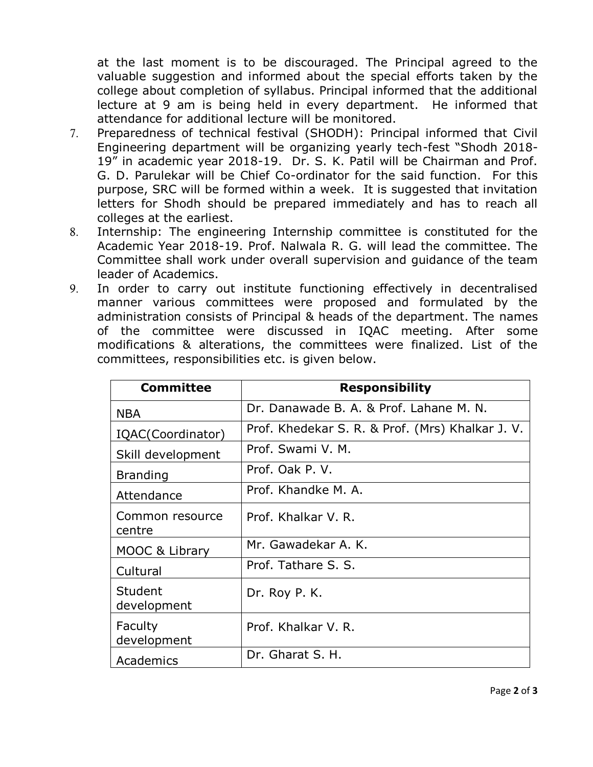at the last moment is to be discouraged. The Principal agreed to the valuable suggestion and informed about the special efforts taken by the college about completion of syllabus. Principal informed that the additional lecture at 9 am is being held in every department. He informed that attendance for additional lecture will be monitored.

- 7. Preparedness of technical festival (SHODH): Principal informed that Civil Engineering department will be organizing yearly tech-fest "Shodh 2018- 19" in academic year 2018-19. Dr. S. K. Patil will be Chairman and Prof. G. D. Parulekar will be Chief Co-ordinator for the said function. For this purpose, SRC will be formed within a week. It is suggested that invitation letters for Shodh should be prepared immediately and has to reach all colleges at the earliest.
- 8. Internship: The engineering Internship committee is constituted for the Academic Year 2018-19. Prof. Nalwala R. G. will lead the committee. The Committee shall work under overall supervision and guidance of the team leader of Academics.
- 9. In order to carry out institute functioning effectively in decentralised manner various committees were proposed and formulated by the administration consists of Principal & heads of the department. The names of the committee were discussed in IQAC meeting. After some modifications & alterations, the committees were finalized. List of the committees, responsibilities etc. is given below.

| <b>Committee</b>          | <b>Responsibility</b>                            |
|---------------------------|--------------------------------------------------|
| <b>NBA</b>                | Dr. Danawade B. A. & Prof. Lahane M. N.          |
| IQAC(Coordinator)         | Prof. Khedekar S. R. & Prof. (Mrs) Khalkar J. V. |
| Skill development         | Prof. Swami V. M.                                |
| <b>Branding</b>           | Prof. Oak P. V.                                  |
| Attendance                | Prof. Khandke M. A.                              |
| Common resource<br>centre | Prof. Khalkar V. R.                              |
| MOOC & Library            | Mr. Gawadekar A. K.                              |
| Cultural                  | Prof. Tathare S. S.                              |
| Student<br>development    | Dr. Roy P. K.                                    |
| Faculty<br>development    | Prof. Khalkar V. R.                              |
| Academics                 | Dr. Gharat S. H.                                 |